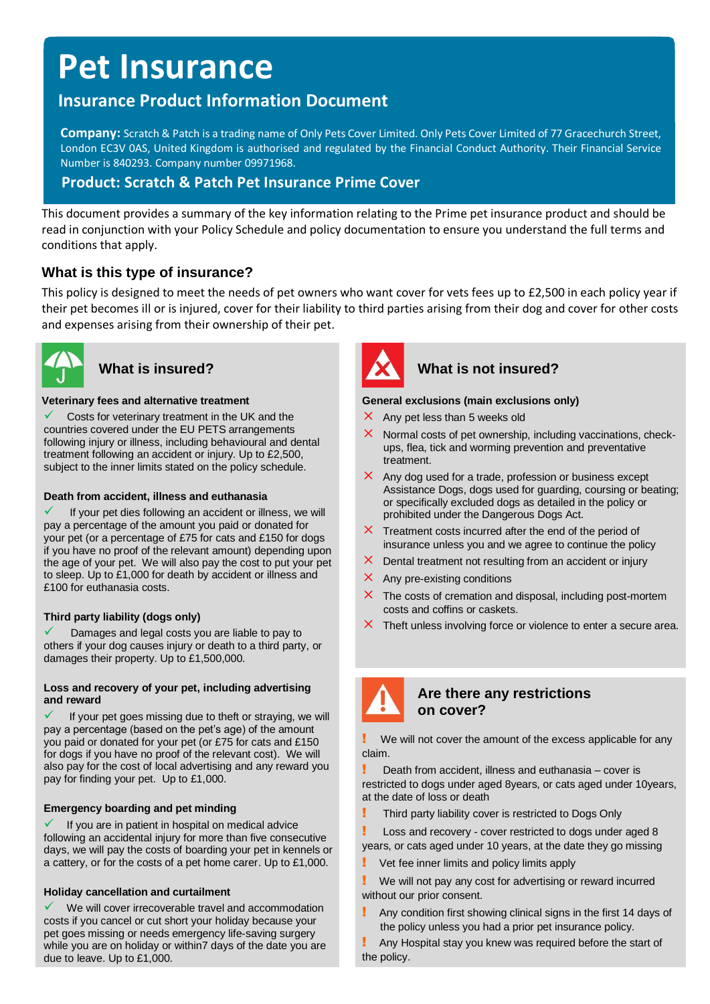# **Pet Insurance**

# **Insurance Product Information Document**

**Company:** Scratch & Patch is a trading name of Only Pets Cover Limited. Only Pets Cover Limited of 77 Gracechurch Street, London EC3V 0AS, United Kingdom is authorised and regulated by the Financial Conduct Authority. Their Financial Service Number is 840293. Company number 09971968.

# **Product: Scratch & Patch Pet Insurance Prime Cover**

This document provides a summary of the key information relating to the Prime pet insurance product and should be read in conjunction with your Policy Schedule and policy documentation to ensure you understand the full terms and conditions that apply.

# **What is this type of insurance?**

This policy is designed to meet the needs of pet owners who want cover for vets fees up to £2,500 in each policy year if their pet becomes ill or is injured, cover for their liability to third parties arising from their dog and cover for other costs and expenses arising from their ownership of their pet.



#### **Veterinary fees and alternative treatment**

Costs for veterinary treatment in the UK and the countries covered under the EU PETS arrangements following injury or illness, including behavioural and dental treatment following an accident or injury. Up to £2,500, subject to the inner limits stated on the policy schedule.

#### **Death from accident, illness and euthanasia**

If your pet dies following an accident or illness, we will pay a percentage of the amount you paid or donated for your pet (or a percentage of £75 for cats and £150 for dogs if you have no proof of the relevant amount) depending upon the age of your pet. We will also pay the cost to put your pet to sleep. Up to £1,000 for death by accident or illness and £100 for euthanasia costs.

### **Third party liability (dogs only)**

Damages and legal costs you are liable to pay to others if your dog causes injury or death to a third party, or damages their property. Up to £1,500,000.

#### **Loss and recovery of your pet, including advertising and reward**

If your pet goes missing due to theft or straying, we will pay a percentage (based on the pet's age) of the amount you paid or donated for your pet (or £75 for cats and £150 for dogs if you have no proof of the relevant cost). We will also pay for the cost of local advertising and any reward you pay for finding your pet. Up to £1,000.

#### **Emergency boarding and pet minding**

If you are in patient in hospital on medical advice following an accidental injury for more than five consecutive days, we will pay the costs of boarding your pet in kennels or a cattery, or for the costs of a pet home carer. Up to £1,000.

### **Holiday cancellation and curtailment**

We will cover irrecoverable travel and accommodation costs if you cancel or cut short your holiday because your pet goes missing or needs emergency life-saving surgery while you are on holiday or within7 days of the date you are due to leave. Up to £1,000.



# What is insured? **What is not insured?**

#### **General exclusions (main exclusions only)**

- $\times$  Any pet less than 5 weeks old
- Normal costs of pet ownership, including vaccinations, checkups, flea, tick and worming prevention and preventative treatment.
- $\times$  Any dog used for a trade, profession or business except Assistance Dogs, dogs used for guarding, coursing or beating; or specifically excluded dogs as detailed in the policy or prohibited under the Dangerous Dogs Act.
- $\times$  Treatment costs incurred after the end of the period of insurance unless you and we agree to continue the policy
- $\times$  Dental treatment not resulting from an accident or injury
- $\times$  Any pre-existing conditions
- $\times$  The costs of cremation and disposal, including post-mortem costs and coffins or caskets.
- $\times$  Theft unless involving force or violence to enter a secure area.



## **Are there any restrictions on cover?**

We will not cover the amount of the excess applicable for any claim.

Death from accident, illness and euthanasia – cover is restricted to dogs under aged 8years, or cats aged under 10years, at the date of loss or death

**!** Third party liability cover is restricted to Dogs Only

**Loss and recovery - cover restricted to dogs under aged 8** years, or cats aged under 10 years, at the date they go missing

Vet fee inner limits and policy limits apply

We will not pay any cost for advertising or reward incurred without our prior consent.

Any condition first showing clinical signs in the first 14 days of the policy unless you had a prior pet insurance policy.

! Any Hospital stay you knew was required before the start of the policy.